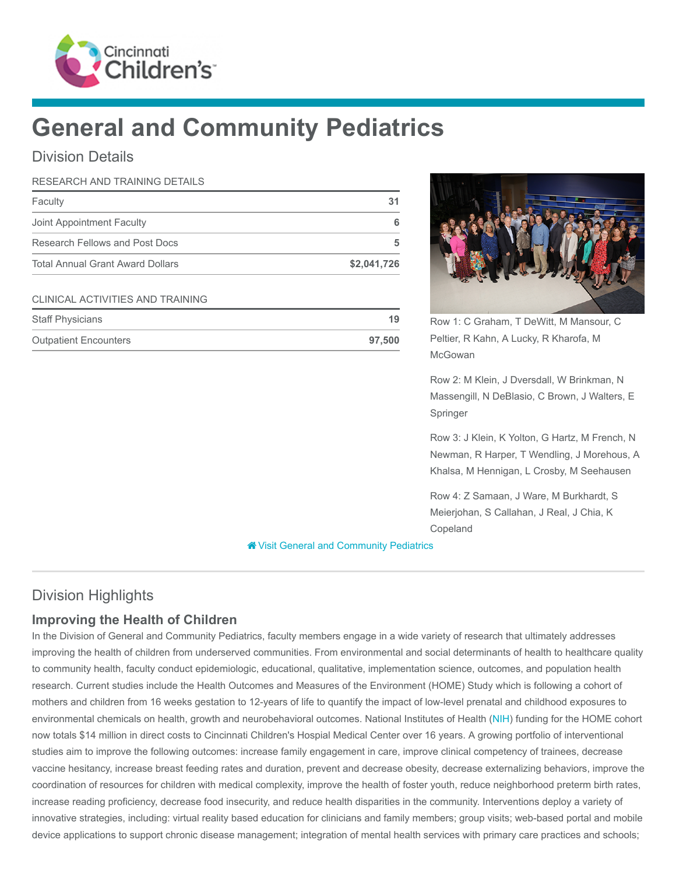

# General and Community Pediatrics

## Division Details

| RESEARCH AND TRAINING DETAILS           |             |
|-----------------------------------------|-------------|
| Faculty                                 | 31          |
| Joint Appointment Faculty               |             |
| Research Fellows and Post Docs          | 5           |
| <b>Total Annual Grant Award Dollars</b> | \$2,041,726 |
|                                         |             |

#### CLINICAL ACTIVITIES AND TRAINING

| <b>Staff Physicians</b>      | 19     |
|------------------------------|--------|
| <b>Outpatient Encounters</b> | 97.500 |



Row 1: C Graham, T DeWitt, M Mansour, C Peltier, R Kahn, A Lucky, R Kharofa, M McGowan

Row 2: M Klein, J Dversdall, W Brinkman, N Massengill, N DeBlasio, C Brown, J Walters, E Springer

Row 3: J Klein, K Yolton, G Hartz, M French, N Newman, R Harper, T Wendling, J Morehous, A Khalsa, M Hennigan, L Crosby, M Seehausen

Row 4: Z Samaan, J Ware, M Burkhardt, S Meierjohan, S Callahan, J Real, J Chia, K Copeland

**<sup>8</sup>** [Visit General and Community Pediatrics](https://www.cincinnatichildrens.org/research/divisions/g/pediatrics)

# Division Highlights

## Improving the Health of Children

In the Division of General and Community Pediatrics, faculty members engage in a wide variety of research that ultimately addresses improving the health of children from underserved communities. From environmental and social determinants of health to healthcare quality to community health, faculty conduct epidemiologic, educational, qualitative, implementation science, outcomes, and population health research. Current studies include the Health Outcomes and Measures of the Environment (HOME) Study which is following a cohort of mothers and children from 16 weeks gestation to 12-years of life to quantify the impact of low-level prenatal and childhood exposures to environmental chemicals on health, growth and neurobehavioral outcomes. National Institutes of Health [\(NIH\)](https://www.nih.gov/) funding for the HOME cohort now totals \$14 million in direct costs to Cincinnati Children's Hospial Medical Center over 16 years. A growing portfolio of interventional studies aim to improve the following outcomes: increase family engagement in care, improve clinical competency of trainees, decrease vaccine hesitancy, increase breast feeding rates and duration, prevent and decrease obesity, decrease externalizing behaviors, improve the coordination of resources for children with medical complexity, improve the health of foster youth, reduce neighborhood preterm birth rates, increase reading proficiency, decrease food insecurity, and reduce health disparities in the community. Interventions deploy a variety of innovative strategies, including: virtual reality based education for clinicians and family members; group visits; web-based portal and mobile device applications to support chronic disease management; integration of mental health services with primary care practices and schools;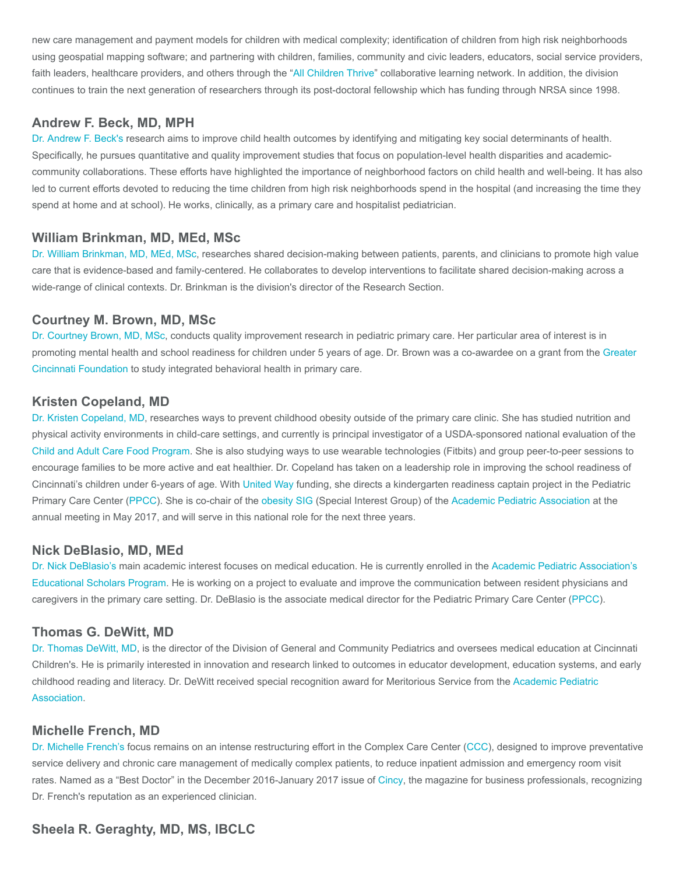new care management and payment models for children with medical complexity; identification of children from high risk neighborhoods using geospatial mapping software; and partnering with children, families, community and civic leaders, educators, social service providers, faith leaders, healthcare providers, and others through the "[All Children Thrive"](https://www.allchildrenthrive.org/) collaborative learning network. In addition, the division continues to train the next generation of researchers through its post-doctoral fellowship which has funding through NRSA since 1998.

## Andrew F. Beck, MD, MPH

[Dr. Andrew F. Beck's](https://www.cincinnatichildrens.org/bio/b/andrew-f-beck) research aims to improve child health outcomes by identifying and mitigating key social determinants of health. Specifically, he pursues quantitative and quality improvement studies that focus on population-level health disparities and academiccommunity collaborations. These efforts have highlighted the importance of neighborhood factors on child health and well-being. It has also led to current efforts devoted to reducing the time children from high risk neighborhoods spend in the hospital (and increasing the time they spend at home and at school). He works, clinically, as a primary care and hospitalist pediatrician.

#### William Brinkman, MD, MEd, MSc

[Dr. William Brinkman, MD, MEd, MSc](https://www.cincinnatichildrens.org/bio/b/william-brinkman), researches shared decision-making between patients, parents, and clinicians to promote high value care that is evidence-based and family-centered. He collaborates to develop interventions to facilitate shared decision-making across a wide-range of clinical contexts. Dr. Brinkman is the division's director of the Research Section.

#### Courtney M. Brown, MD, MSc

[Dr. Courtney Brown, MD, MSc,](https://www.cincinnatichildrens.org/bio/b/courtney-brown) conducts quality improvement research in pediatric primary care. Her particular area of interest is in [promoting mental health and school readiness for children under 5 years of age. Dr. Brown was a co-awardee on a grant from the Greater](https://www.gcfdn.org/) Cincinnati Foundation to study integrated behavioral health in primary care.

#### Kristen Copeland, MD

[Dr. Kristen Copeland, MD](https://www.cincinnatichildrens.org/bio/c/kristen-copeland), researches ways to prevent childhood obesity outside of the primary care clinic. She has studied nutrition and physical activity environments in child-care settings, and currently is principal investigator of a USDA-sponsored national evaluation of the [Child and Adult Care Food Program](https://www.fns.usda.gov/cacfp/child-and-adult-care-food-program). She is also studying ways to use wearable technologies (Fitbits) and group peer-to-peer sessions to encourage families to be more active and eat healthier. Dr. Copeland has taken on a leadership role in improving the school readiness of Cincinnati's children under 6-years of age. With [United Way](https://www.unitedway.org/) funding, she directs a kindergarten readiness captain project in the Pediatric Primary Care Center ([PPCC](https://www.cincinnatichildrens.org/service/p/primary-care/ppcc)). She is co-chair of the [obesity SIG](http://www.academicpeds.org/specialInterestGroups/sig_obesity.cfm) (Special Interest Group) of the [Academic Pediatric Association](https://www.academicpeds.org/Search/searchresults.cfm) at the annual meeting in May 2017, and will serve in this national role for the next three years.

#### Nick DeBlasio, MD, MEd

[Dr. Nick DeBlasio's](https://www.cincinnatichildrens.org/bio/d/nick-deblasio) [main academic interest focuses on medical education. He is currently enrolled in the Academic Pediatric Association's](https://www.academicpeds.org/education/education_scholars_program.cfm) Educational Scholars Program. He is working on a project to evaluate and improve the communication between resident physicians and caregivers in the primary care setting. Dr. DeBlasio is the associate medical director for the Pediatric Primary Care Center ([PPCC\)](https://www.cincinnatichildrens.org/service/p/primary-care/ppcc).

#### Thomas G. DeWitt, MD

[Dr. Thomas DeWitt, MD](https://www.cincinnatichildrens.org/bio/d/thomas-dewitt), is the director of the Division of General and Community Pediatrics and oversees medical education at Cincinnati Children's. He is primarily interested in innovation and research linked to outcomes in educator development, education systems, and early [childhood reading and literacy. Dr. DeWitt received special recognition award for Meritorious Service from the Academic Pediatric](https://www.academicpeds.org/) Association.

#### Michelle French, MD

[Dr. Michelle French's](https://www.cincinnatichildrens.org/bio/f/michelle-french) focus remains on an intense restructuring effort in the Complex Care Center ([CCC](https://www.cincinnatichildrens.org/service/c/complex-care-center)), designed to improve preventative service delivery and chronic care management of medically complex patients, to reduce inpatient admission and emergency room visit rates. Named as a "Best Doctor" in the December 2016-January 2017 issue of [Cincy](http://cincymagazine.com/Main/CincyHome.aspx), the magazine for business professionals, recognizing Dr. French's reputation as an experienced clinician.

#### Sheela R. Geraghty, MD, MS, IBCLC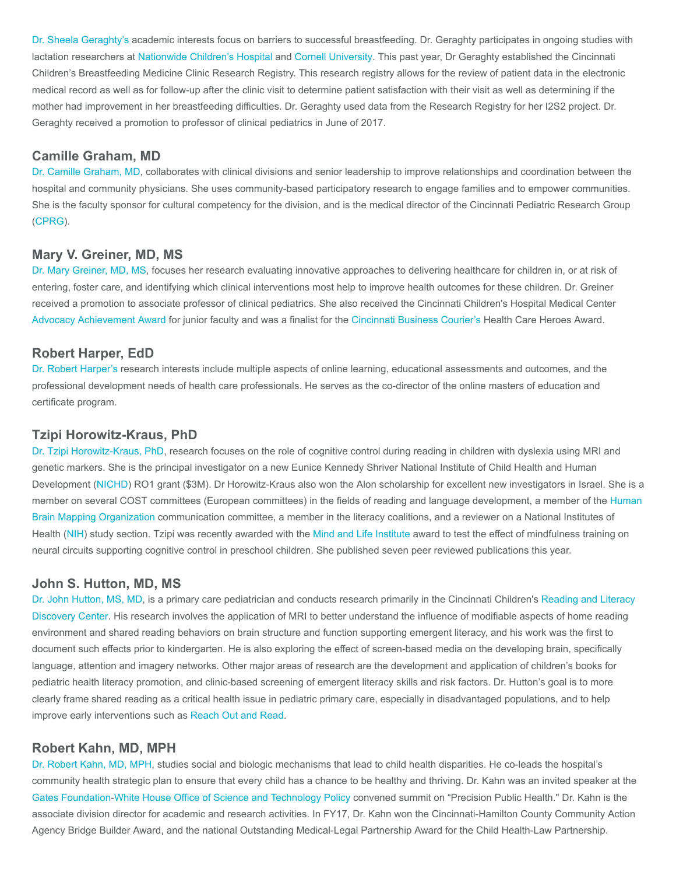[Dr. Sheela Geraghty's](https://www.cincinnatichildrens.org/bio/g/sheela-geraghty) academic interests focus on barriers to successful breastfeeding. Dr. Geraghty participates in ongoing studies with lactation researchers at [Nationwide Children's Hospital](http://www.nationwidechildrens.org/) and [Cornell University](https://www.cornell.edu/). This past year, Dr Geraghty established the Cincinnati Children's Breastfeeding Medicine Clinic Research Registry. This research registry allows for the review of patient data in the electronic medical record as well as for follow-up after the clinic visit to determine patient satisfaction with their visit as well as determining if the mother had improvement in her breastfeeding difficulties. Dr. Geraghty used data from the Research Registry for her I2S2 project. Dr. Geraghty received a promotion to professor of clinical pediatrics in June of 2017.

## Camille Graham, MD

[Dr. Camille Graham, MD](https://www.cincinnatichildrens.org/bio/g/camille-graham), collaborates with clinical divisions and senior leadership to improve relationships and coordination between the hospital and community physicians. She uses community-based participatory research to engage families and to empower communities. She is the faculty sponsor for cultural competency for the division, and is the medical director of the Cincinnati Pediatric Research Group ([CPRG\)](https://www.cincinnatichildrens.org/research/divisions/c/cprg).

#### Mary V. Greiner, MD, MS

[Dr. Mary Greiner, MD, MS](https://www.cincinnatichildrens.org/bio/g/mary-greiner), focuses her research evaluating innovative approaches to delivering healthcare for children in, or at risk of entering, foster care, and identifying which clinical interventions most help to improve health outcomes for these children. Dr. Greiner received a promotion to associate professor of clinical pediatrics. She also received the Cincinnati Children's Hospital Medical Center [Advocacy Achievement Award](https://www.cincinnatichildrens.org/research/cincinnati/faculty-awards) for junior faculty and was a finalist for the [Cincinnati Business Courier's](https://www.bizjournals.com/cincinnati/iframe/welcome?r=https%3A%2F%2Fwww.bizjournals.com%2Fcincinnati) Health Care Heroes Award.

## Robert Harper, EdD

[Dr. Robert Harper's](https://www.cincinnatichildrens.org/bio/h/robert-harper) research interests include multiple aspects of online learning, educational assessments and outcomes, and the professional development needs of health care professionals. He serves as the co-director of the online masters of education and certificate program.

#### Tzipi Horowitz-Kraus, PhD

[Dr. Tzipi Horowitz-Kraus, PhD](https://www.cincinnatichildrens.org/bio/h/tzipi-horowitz-kraus), research focuses on the role of cognitive control during reading in children with dyslexia using MRI and genetic markers. She is the principal investigator on a new Eunice Kennedy Shriver National Institute of Child Health and Human Development ([NICHD](https://nichd.nih.gov/Pages/index.aspx)) RO1 grant (\$3M). Dr Horowitz-Kraus also won the Alon scholarship for excellent new investigators in Israel. She is a [member on several COST committees \(European committees\) in the fields of reading and language development, a member of the Human](https://www.humanbrainmapping.org/i4a/pages/index.cfm?pageid=1) Brain Mapping Organization communication committee, a member in the literacy coalitions, and a reviewer on a National Institutes of Health [\(NIH](https://www.nih.gov/)) study section. Tzipi was recently awarded with the [Mind and Life Institute](https://www.mindandlife.org/) award to test the effect of mindfulness training on neural circuits supporting cognitive control in preschool children. She published seven peer reviewed publications this year.

#### John S. Hutton, MD, MS

[Dr. John Hutton, MS, MD](https://www.cincinnatichildrens.org/bio/h/john-s-hutton)[, is a primary care pediatrician and conducts research primarily in the Cincinnati Children's Reading and Literacy](https://www.cincinnatichildrens.org/research/divisions/r/rips/research/rldc) Discovery Center. His research involves the application of MRI to better understand the influence of modifiable aspects of home reading environment and shared reading behaviors on brain structure and function supporting emergent literacy, and his work was the first to document such effects prior to kindergarten. He is also exploring the effect of screen-based media on the developing brain, specifically language, attention and imagery networks. Other major areas of research are the development and application of children's books for pediatric health literacy promotion, and clinic-based screening of emergent literacy skills and risk factors. Dr. Hutton's goal is to more clearly frame shared reading as a critical health issue in pediatric primary care, especially in disadvantaged populations, and to help improve early interventions such as [Reach Out and Read](http://www.reachoutandread.org/).

#### Robert Kahn, MD, MPH

[Dr. Robert Kahn, MD, MPH,](https://www.cincinnatichildrens.org/bio/k/robert-kahn) studies social and biologic mechanisms that lead to child health disparities. He co-leads the hospital's community health strategic plan to ensure that every child has a chance to be healthy and thriving. Dr. Kahn was an invited speaker at the [Gates Foundation](https://www.gatesfoundation.org/)[-White House Office of Science and Technology Policy](https://www.whitehouse.gov/ostp) convened summit on "Precision Public Health." Dr. Kahn is the associate division director for academic and research activities. In FY17, Dr. Kahn won the Cincinnati-Hamilton County Community Action Agency Bridge Builder Award, and the national Outstanding Medical-Legal Partnership Award for the Child Health-Law Partnership.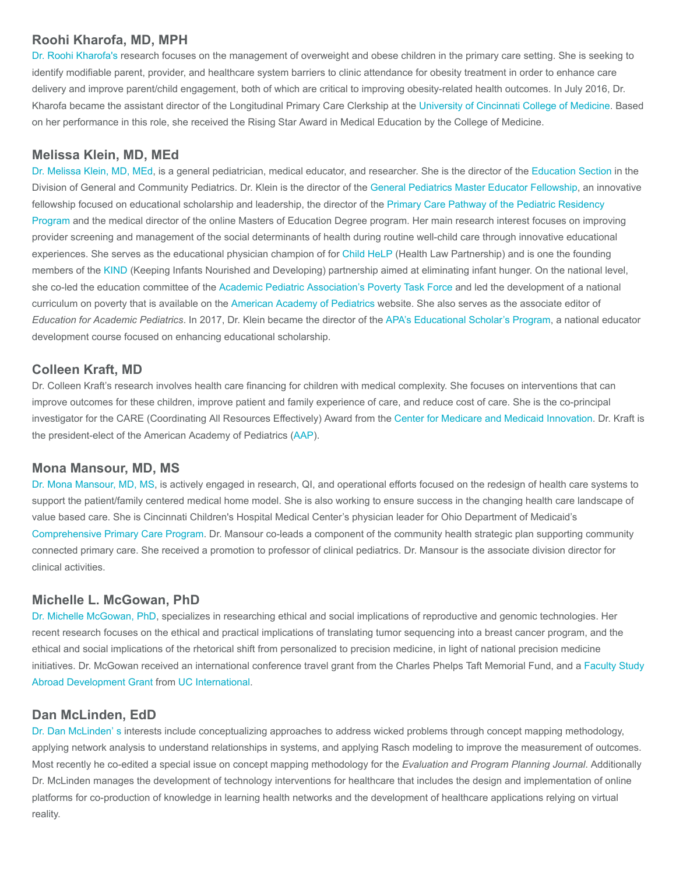## Roohi Kharofa, MD, MPH

[Dr. Roohi Kharofa's](https://www.cincinnatichildrens.org/bio/k/roohi-kharofa) research focuses on the management of overweight and obese children in the primary care setting. She is seeking to identify modifiable parent, provider, and healthcare system barriers to clinic attendance for obesity treatment in order to enhance care delivery and improve parent/child engagement, both of which are critical to improving obesity-related health outcomes. In July 2016, Dr. Kharofa became the assistant director of the Longitudinal Primary Care Clerkship at the [University of Cincinnati College of Medicine](http://med.uc.edu/). Based on her performance in this role, she received the Rising Star Award in Medical Education by the College of Medicine.

## Melissa Klein, MD, MEd

[Dr. Melissa Klein, MD, MEd](https://www.cincinnatichildrens.org/bio/k/melissa-klein), is a general pediatrician, medical educator, and researcher. She is the director of the [Education Section](https://www.cincinnatichildrens.org/service/g/gen-pediatrics/education) in the Division of General and Community Pediatrics. Dr. Klein is the director of the [General Pediatrics Master Educator Fellowship](https://www.cincinnatichildrens.org/education/clinical/fellowship/master-educator), an innovative fellowship focused on educational scholarship and leadership, the director of the Primary Care Pathway of the Pediatric Residency [Program and the medical director of the online Masters of Education Degree program. Her main research interest focuses on impro](https://www.cincinnatichildrens.org/education/clinical/residency/what/pathways)ving provider screening and management of the social determinants of health during routine well-child care through innovative educational experiences. She serves as the educational physician champion of for [Child HeLP](https://www.cincinnatichildrens.org/service/g/gen-pediatrics/services/child-help) (Health Law Partnership) and is one the founding members of the [KIND](https://www.cincinnatichildrens.org/about/community/community-benefit/nourished) (Keeping Infants Nourished and Developing) partnership aimed at eliminating infant hunger. On the national level, she co-led the education committee of the [Academic Pediatric Association's Poverty Task Force](https://www.academicpeds.org/taskforces/TaskForceCP.cfm) and led the development of a national curriculum on poverty that is available on the [American Academy of Pediatrics](https://www.aap.org/en-us/Pages/Default.aspx) website. She also serves as the associate editor of Education for Academic Pediatrics. In 2017, Dr. Klein became the director of the [APA's Educational Scholar's Program,](https://www.academicpeds.org/education/education_scholars_program.cfm) a national educator development course focused on enhancing educational scholarship.

## Colleen Kraft, MD

Dr. Colleen Kraft's research involves health care financing for children with medical complexity. She focuses on interventions that can improve outcomes for these children, improve patient and family experience of care, and reduce cost of care. She is the co-principal investigator for the CARE (Coordinating All Resources Effectively) Award from the [Center for Medicare and Medicaid Innovation.](https://innovation.cms.gov/) Dr. Kraft is the president-elect of the American Academy of Pediatrics ([AAP](https://www.aap.org/en-us/Pages/Default.aspx)).

## Mona Mansour, MD, MS

[Dr. Mona Mansour, MD, MS](https://www.cincinnatichildrens.org/bio/m/mona-mansour), is actively engaged in research, QI, and operational efforts focused on the redesign of health care systems to support the patient/family centered medical home model. She is also working to ensure success in the changing health care landscape of value based care. She is Cincinnati Children's Hospital Medical Center's physician leader for Ohio Department of Medicaid's [Comprehensive Primary Care Program](http://www.medicaid.ohio.gov/Providers/Paymentinnovation/CPC.aspx). Dr. Mansour co-leads a component of the community health strategic plan supporting community connected primary care. She received a promotion to professor of clinical pediatrics. Dr. Mansour is the associate division director for clinical activities.

## Michelle L. McGowan, PhD

[Dr. Michelle McGowan, PhD,](https://www.cincinnatichildrens.org/bio/m/michelle-mcgowan) specializes in researching ethical and social implications of reproductive and genomic technologies. Her recent research focuses on the ethical and practical implications of translating tumor sequencing into a breast cancer program, and the ethical and social implications of the rhetorical shift from personalized to precision medicine, in light of national precision medicine [initiatives. Dr. McGowan received an international conference travel grant from the Charles Phelps Taft Memorial Fund, and a Faculty Study](https://www.uc.edu/international/uc-faculty---staff/leading-study-abroad/block-grants/program-development-grant.html) Abroad Development Grant from [UC International](https://www.uc.edu/international.html).

#### Dan McLinden, EdD

[Dr. Dan McLinden' s](https://www.cincinnatichildrens.org/bio/m/daniel-mclinden) interests include conceptualizing approaches to address wicked problems through concept mapping methodology, applying network analysis to understand relationships in systems, and applying Rasch modeling to improve the measurement of outcomes. Most recently he co-edited a special issue on concept mapping methodology for the Evaluation and Program Planning Journal. Additionally Dr. McLinden manages the development of technology interventions for healthcare that includes the design and implementation of online platforms for co-production of knowledge in learning health networks and the development of healthcare applications relying on virtual reality.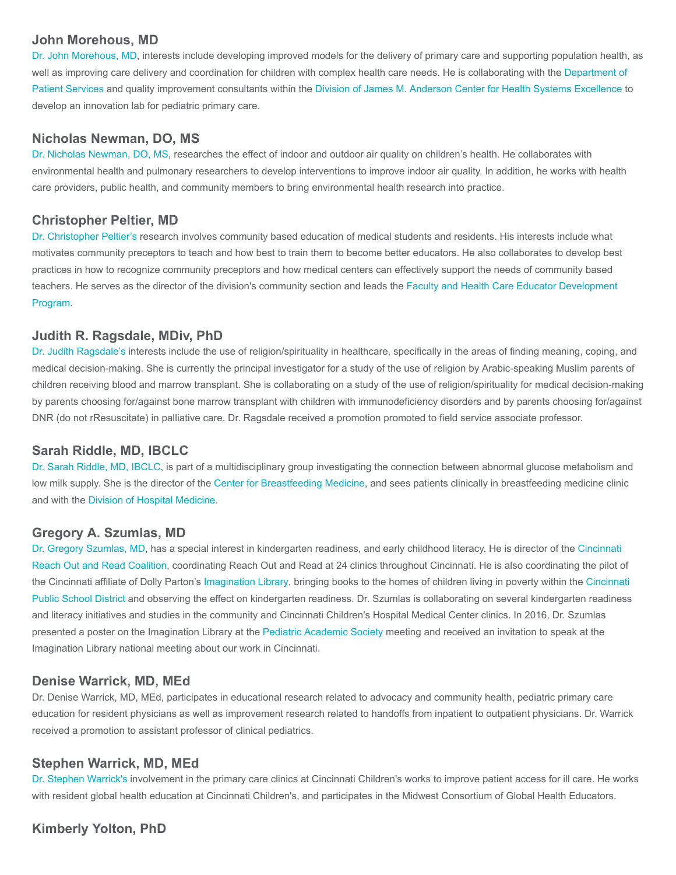## John Morehous, MD

[Dr. John Morehous, MD](https://www.cincinnatichildrens.org/bio/m/john-morehous), interests include developing improved models for the delivery of primary care and supporting population health, as [well as improving care delivery and coordination for children with complex health care needs. He is collaborating with the Department of](https://www.cincinnatichildrens.org/service/p/patient-services) Patient Services and quality improvement consultants within the [Division of James M. Anderson Center for Health Systems Excellence](https://www.cincinnatichildrens.org/research/divisions/j/anderson-center) to develop an innovation lab for pediatric primary care.

## Nicholas Newman, DO, MS

[Dr. Nicholas Newman, DO, MS,](https://www.cincinnatichildrens.org/bio/n/nicholas-newman) researches the effect of indoor and outdoor air quality on children's health. He collaborates with environmental health and pulmonary researchers to develop interventions to improve indoor air quality. In addition, he works with health care providers, public health, and community members to bring environmental health research into practice.

#### Christopher Peltier, MD

[Dr. Christopher Peltier's](https://www.cincinnatichildrens.org/bio/p/christopher-peltier) research involves community based education of medical students and residents. His interests include what motivates community preceptors to teach and how best to train them to become better educators. He also collaborates to develop best practices in how to recognize community preceptors and how medical centers can effectively support the needs of community based [teachers. He serves as the director of the division's community section and leads the Faculty and Health Care Educator Development](https://www.cincinnatichildrens.org/education/clinical/graduate/grad/faculty) Program.

## Judith R. Ragsdale, MDiv, PhD

[Dr. Judith Ragsdale's](https://www.cincinnatichildrens.org/bio/r/judith-ragsdale) interests include the use of religion/spirituality in healthcare, specifically in the areas of finding meaning, coping, and medical decision-making. She is currently the principal investigator for a study of the use of religion by Arabic-speaking Muslim parents of children receiving blood and marrow transplant. She is collaborating on a study of the use of religion/spirituality for medical decision-making by parents choosing for/against bone marrow transplant with children with immunodeficiency disorders and by parents choosing for/against DNR (do not rResuscitate) in palliative care. Dr. Ragsdale received a promotion promoted to field service associate professor.

## Sarah Riddle, MD, IBCLC

[Dr. Sarah Riddle, MD, IBCLC](https://www.cincinnatichildrens.org/bio/r/sarah-riddle), is part of a multidisciplinary group investigating the connection between abnormal glucose metabolism and low milk supply. She is the director of the [Center for Breastfeeding Medicine](https://www.cincinnatichildrens.org/service/c/breastfeeding/about), and sees patients clinically in breastfeeding medicine clinic and with the [Division of Hospital Medicine](https://www.cincinnatichildrens.org/service/h/hospital-medicine).

#### Gregory A. Szumlas, MD

[Dr. Gregory Szumlas, MD](https://www.cincinnatichildrens.org/bio/s/gregory-szumlas)[, has a special interest in kindergarten readiness, and early childhood literacy. He is director of the Cincinnati](https://www.cincinnatichildrens.org/service/r/reach-out-and-read) Reach Out and Read Coalition, coordinating Reach Out and Read at 24 clinics throughout Cincinnati. He is also coordinating the pilot of [the Cincinnati affiliate of Dolly Parton's I](https://www.cps-k12.org/)[magination Library](https://www.cincinnatichildrens.org/service/r/reach-out-and-read/imagination-library)[, bringing books to the homes of children living in poverty within the Cincinnati](https://www.cps-k12.org/) Public School District and observing the effect on kindergarten readiness. Dr. Szumlas is collaborating on several kindergarten readiness and literacy initiatives and studies in the community and Cincinnati Children's Hospital Medical Center clinics. In 2016, Dr. Szumlas presented a poster on the Imagination Library at the [Pediatric Academic Society](https://www.pas-meeting.org/) meeting and received an invitation to speak at the Imagination Library national meeting about our work in Cincinnati.

## Denise Warrick, MD, MEd

Dr. Denise Warrick, MD, MEd, participates in educational research related to advocacy and community health, pediatric primary care education for resident physicians as well as improvement research related to handoffs from inpatient to outpatient physicians. Dr. Warrick received a promotion to assistant professor of clinical pediatrics.

#### Stephen Warrick, MD, MEd

[Dr. Stephen Warrick's](https://www.cincinnatichildrens.org/bio/w/stephen-warrick) involvement in the primary care clinics at Cincinnati Children's works to improve patient access for ill care. He works with resident global health education at Cincinnati Children's, and participates in the Midwest Consortium of Global Health Educators.

## Kimberly Yolton, PhD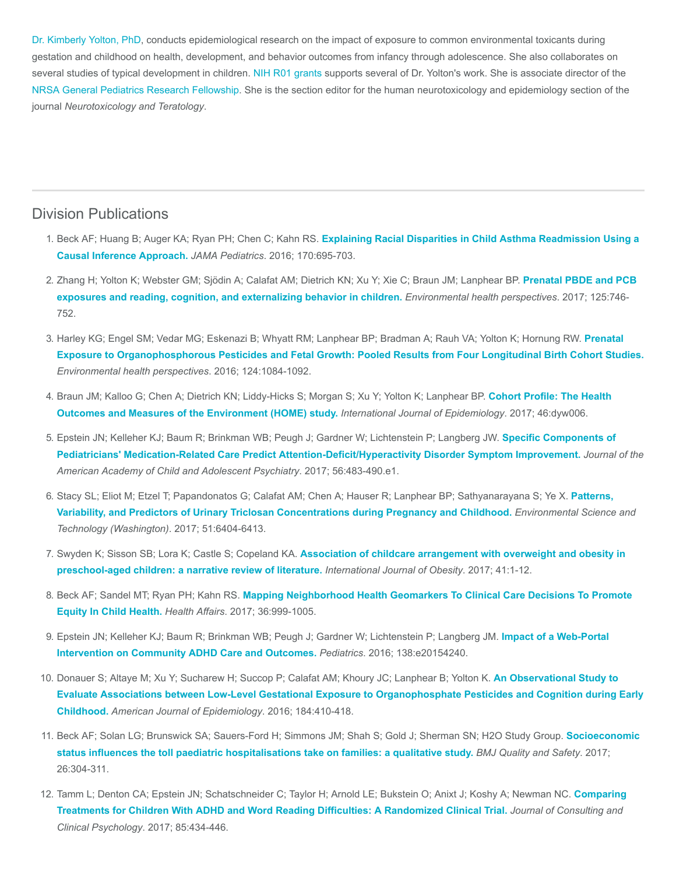[Dr. Kimberly Yolton, PhD,](https://www.cincinnatichildrens.org/bio/y/kimberly-yolton) conducts epidemiological research on the impact of exposure to common environmental toxicants during gestation and childhood on health, development, and behavior outcomes from infancy through adolescence. She also collaborates on several studies of typical development in children. [NIH R01 grants](https://grants.nih.gov/grants/funding/r01.htm) supports several of Dr. Yolton's work. She is associate director of the [NRSA](http://grants.nih.gov/training/nrsa.htm) [General Pediatrics Research Fellowship](https://www.cincinnatichildrens.org/education/clinical/fellowship/gen-peds). She is the section editor for the human neurotoxicology and epidemiology section of the journal Neurotoxicology and Teratology.

## Division Publications

- 1. Beck AF; Huang B; Auger KA; Ryan PH; Chen C; Kahn RS. [Explaining Racial Disparities in Child Asthma Readmission Using a](https://www.ncbi.nlm.nih.gov/pubmed/27182793) Causal Inference Approach. JAMA Pediatrics. 2016; 170:695-703.
- 2. [Zhang H; Yolton K; Webster GM; Sjödin A; Calafat AM; Dietrich KN; Xu Y; Xie C; Braun JM; Lanphear BP.](https://www.ncbi.nlm.nih.gov/pubmed/27385187) Prenatal PBDE and PCB exposures and reading, cognition, and externalizing behavior in children. Environmental health perspectives. 2017; 125:746- 752.
- 3. [Harley KG; Engel SM; Vedar MG; Eskenazi B; Whyatt RM; Lanphear BP; Bradman A; Rauh VA; Yolton K; Hornung RW.](https://www.ncbi.nlm.nih.gov/pubmed/26685281) Prenatal Exposure to Organophosphorous Pesticides and Fetal Growth: Pooled Results from Four Longitudinal Birth Cohort Studies. Environmental health perspectives. 2016; 124:1084-1092.
- 4. [Braun JM; Kalloo G; Chen A; Dietrich KN; Liddy-Hicks S; Morgan S; Xu Y; Yolton K; Lanphear BP.](https://www.ncbi.nlm.nih.gov/pubmed/27006352) Cohort Profile: The Health Outcomes and Measures of the Environment (HOME) study. International Journal of Epidemiology. 2017; 46:dyw006.
- 5. [Epstein JN; Kelleher KJ; Baum R; Brinkman WB; Peugh J; Gardner W; Lichtenstein P; Langberg JW.](https://www.ncbi.nlm.nih.gov/pubmed/28545753) Specific Components of Pediatricians' Medication-Related Care Predict Attention-Deficit/Hyperactivity Disorder Symptom Improvement. Journal of the American Academy of Child and Adolescent Psychiatry. 2017; 56:483-490.e1.
- 6. [Stacy SL; Eliot M; Etzel T; Papandonatos G; Calafat AM; Chen A; Hauser R; Lanphear BP; Sathyanarayana S; Ye X.](https://www.ncbi.nlm.nih.gov/pubmed/28516781) Patterns, Variability, and Predictors of Urinary Triclosan Concentrations during Pregnancy and Childhood. Environmental Science and Technology (Washington). 2017; 51:6404-6413.
- 7. Swyden K; Sisson SB; Lora K; Castle S; Copeland KA. [Association of childcare arrangement with overweight and obesity in](https://www.ncbi.nlm.nih.gov/pubmed/27811950) preschool-aged children: a narrative review of literature. International Journal of Obesity. 2017; 41:1-12.
- 8. Beck AF; Sandel MT; Ryan PH; Kahn RS. [Mapping Neighborhood Health Geomarkers To Clinical Care Decisions To Promote](https://www.ncbi.nlm.nih.gov/pubmed/28583957) Equity In Child Health. Health Affairs. 2017; 36:999-1005.
- 9. [Epstein JN; Kelleher KJ; Baum R; Brinkman WB; Peugh J; Gardner W; Lichtenstein P; Langberg JM.](https://www.ncbi.nlm.nih.gov/pubmed/27462065) Impact of a Web-Portal Intervention on Community ADHD Care and Outcomes. Pediatrics. 2016; 138:e20154240.
- 10. Donauer S; Altaye M; Xu Y; Sucharew H; Succop P; Calafat AM; Khoury JC; Lanphear B; Yolton K. An Observational Study to [Evaluate Associations between Low-Level Gestational Exposure to Organophosphate Pesticides and Cognition during Early](https://www.ncbi.nlm.nih.gov/pubmed/27539379) Childhood. American Journal of Epidemiology. 2016; 184:410-418.
- 11. [Beck AF; Solan LG; Brunswick SA; Sauers-Ford H; Simmons JM; Shah S; Gold J; Sherman SN; H2O Study Group.](https://www.ncbi.nlm.nih.gov/pubmed/27471042) Socioeconomic status influences the toll paediatric hospitalisations take on families: a qualitative study. BMJ Quality and Safety. 2017; 26:304-311.
- 12. [Tamm L; Denton CA; Epstein JN; Schatschneider C; Taylor H; Arnold LE; Bukstein O; Anixt J; Koshy A; Newman NC.](https://www.ncbi.nlm.nih.gov/pubmed/28333510) Comparing Treatments for Children With ADHD and Word Reading Difficulties: A Randomized Clinical Trial. Journal of Consulting and Clinical Psychology. 2017; 85:434-446.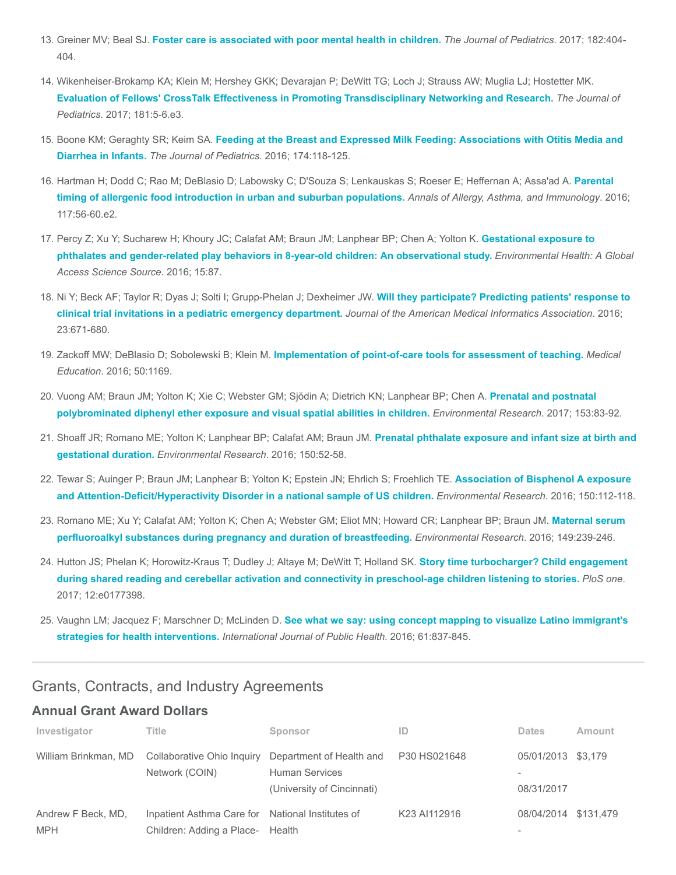- 13. Greiner MV; Beal SJ. [Foster care is associated with poor mental health in children.](https://www.ncbi.nlm.nih.gov/pubmed/28237454) The Journal of Pediatrics. 2017; 182:404-404.
- 14. Wikenheiser-Brokamp KA; Klein M; Hershey GKK; Devarajan P; DeWitt TG; Loch J; Strauss AW; Muglia LJ; Hostetter MK. [Evaluation of Fellows' CrossTalk Effectiveness in Promoting Transdisciplinary Networking and Research.](https://www.ncbi.nlm.nih.gov/pubmed/27839701) The Journal of Pediatrics. 2017; 181:5-6.e3.
- 15. Boone KM; Geraghty SR; Keim SA. [Feeding at the Breast and Expressed Milk Feeding: Associations with Otitis Media and](https://www.ncbi.nlm.nih.gov/pubmed/27174145) Diarrhea in Infants. The Journal of Pediatrics. 2016; 174:118-125.
- 16. [Hartman H; Dodd C; Rao M; DeBlasio D; Labowsky C; D'Souza S; Lenkauskas S; Roeser E; Heffernan A; Assa'ad A.](https://www.ncbi.nlm.nih.gov/pubmed/27184198) Parental timing of allergenic food introduction in urban and suburban populations. Annals of Allergy, Asthma, and Immunology. 2016; 117:56-60.e2.
- 17. [Percy Z; Xu Y; Sucharew H; Khoury JC; Calafat AM; Braun JM; Lanphear BP; Chen A; Yolton K.](https://www.ncbi.nlm.nih.gov/pubmed/27527835) Gestational exposure to phthalates and gender-related play behaviors in 8-year-old children: An observational study. Environmental Health: A Global Access Science Source. 2016; 15:87.
- 18. [Ni Y; Beck AF; Taylor R; Dyas J; Solti I; Grupp-Phelan J; Dexheimer JW.](https://www.ncbi.nlm.nih.gov/pubmed/27121609) Will they participate? Predicting patients' response to clinical trial invitations in a pediatric emergency department. Journal of the American Medical Informatics Association. 2016; 23:671-680.
- 19. Zackoff MW; DeBlasio D; Sobolewski B; Klein M. [Implementation of point-of-care tools for assessment of teaching.](https://www.ncbi.nlm.nih.gov/pubmed/27761997) Medical Education. 2016; 50:1169.
- 20. [Vuong AM; Braun JM; Yolton K; Xie C; Webster GM; Sjödin A; Dietrich KN; Lanphear BP; Chen A.](https://www.ncbi.nlm.nih.gov/pubmed/27915227) Prenatal and postnatal polybrominated diphenyl ether exposure and visual spatial abilities in children. Environmental Research. 2017; 153:83-92.
- 21. [Shoaff JR; Romano ME; Yolton K; Lanphear BP; Calafat AM; Braun JM.](https://www.ncbi.nlm.nih.gov/pubmed/27236572) Prenatal phthalate exposure and infant size at birth and gestational duration. Environmental Research. 2016; 150:52-58.
- 22. [Tewar S; Auinger P; Braun JM; Lanphear B; Yolton K; Epstein JN; Ehrlich S; Froehlich TE.](https://www.ncbi.nlm.nih.gov/pubmed/27281688) Association of Bisphenol A exposure and Attention-Deficit/Hyperactivity Disorder in a national sample of US children. Environmental Research. 2016; 150:112-118.
- 23. [Romano ME; Xu Y; Calafat AM; Yolton K; Chen A; Webster GM; Eliot MN; Howard CR; Lanphear BP; Braun JM.](https://www.ncbi.nlm.nih.gov/pubmed/27179585) Maternal serum perfluoroalkyl substances during pregnancy and duration of breastfeeding. Environmental Research. 2016; 149:239-246.
- 24. Hutton JS; Phelan K; Horowitz-Kraus T; Dudley J; Altaye M; DeWitt T; Holland SK. Story time turbocharger? Child engagement [during shared reading and cerebellar activation and connectivity in preschool-age children listening to stories.](https://www.ncbi.nlm.nih.gov/pubmed/28562619) PloS one. 2017; 12:e0177398.
- 25. Vaughn LM; Jacquez F; Marschner D; McLinden D. [See what we say: using concept mapping to visualize Latino immigrant's](https://www.ncbi.nlm.nih.gov/pubmed/27220545) strategies for health interventions. International Journal of Public Health. 2016; 61:837-845.

## Grants, Contracts, and Industry Agreements

## Annual Grant Award Dollars

| Investigator                     | Title                                                                                | Sponsor                                                                         | ID           | <b>Dates</b>                     | Amount |
|----------------------------------|--------------------------------------------------------------------------------------|---------------------------------------------------------------------------------|--------------|----------------------------------|--------|
| William Brinkman, MD             | Collaborative Ohio Inquiry<br>Network (COIN)                                         | Department of Health and<br><b>Human Services</b><br>(University of Cincinnati) | P30 HS021648 | 05/01/2013 \$3,179<br>08/31/2017 |        |
| Andrew F Beck, MD,<br><b>MPH</b> | Inpatient Asthma Care for National Institutes of<br>Children: Adding a Place- Health |                                                                                 | K23 AI112916 | 08/04/2014 \$131.479             |        |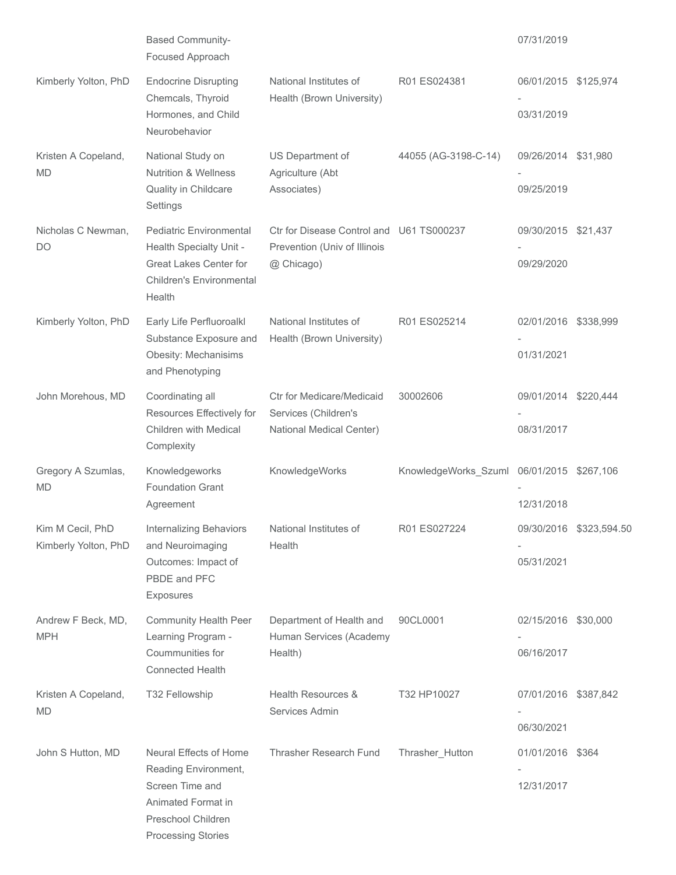|                                          | <b>Based Community-</b><br>Focused Approach                                                                                             |                                                                                        |                                           | 07/31/2019                         |                         |
|------------------------------------------|-----------------------------------------------------------------------------------------------------------------------------------------|----------------------------------------------------------------------------------------|-------------------------------------------|------------------------------------|-------------------------|
| Kimberly Yolton, PhD                     | <b>Endocrine Disrupting</b><br>Chemcals, Thyroid<br>Hormones, and Child<br>Neurobehavior                                                | National Institutes of<br>Health (Brown University)                                    | R01 ES024381                              | 06/01/2015 \$125,974<br>03/31/2019 |                         |
| Kristen A Copeland,<br><b>MD</b>         | National Study on<br><b>Nutrition &amp; Wellness</b><br>Quality in Childcare<br>Settings                                                | US Department of<br>Agriculture (Abt<br>Associates)                                    | 44055 (AG-3198-C-14)                      | 09/26/2014 \$31,980<br>09/25/2019  |                         |
| Nicholas C Newman,<br><b>DO</b>          | <b>Pediatric Environmental</b><br>Health Specialty Unit -<br><b>Great Lakes Center for</b><br><b>Children's Environmental</b><br>Health | Ctr for Disease Control and U61 TS000237<br>Prevention (Univ of Illinois<br>@ Chicago) |                                           | 09/30/2015 \$21,437<br>09/29/2020  |                         |
| Kimberly Yolton, PhD                     | Early Life Perfluoroalkl<br>Substance Exposure and<br>Obesity: Mechanisims<br>and Phenotyping                                           | National Institutes of<br>Health (Brown University)                                    | R01 ES025214                              | 02/01/2016 \$338,999<br>01/31/2021 |                         |
| John Morehous, MD                        | Coordinating all<br>Resources Effectively for<br>Children with Medical<br>Complexity                                                    | <b>Ctr for Medicare/Medicaid</b><br>Services (Children's<br>National Medical Center)   | 30002606                                  | 09/01/2014 \$220,444<br>08/31/2017 |                         |
| Gregory A Szumlas,<br><b>MD</b>          | Knowledgeworks<br><b>Foundation Grant</b><br>Agreement                                                                                  | KnowledgeWorks                                                                         | KnowledgeWorks_Szuml 06/01/2015 \$267,106 | 12/31/2018                         |                         |
| Kim M Cecil, PhD<br>Kimberly Yolton, PhD | Internalizing Behaviors<br>and Neuroimaging<br>Outcomes: Impact of<br>PBDE and PFC<br><b>Exposures</b>                                  | National Institutes of<br>Health                                                       | R01 ES027224                              | 05/31/2021                         | 09/30/2016 \$323,594.50 |
| Andrew F Beck, MD,<br><b>MPH</b>         | <b>Community Health Peer</b><br>Learning Program -<br>Coummunities for<br><b>Connected Health</b>                                       | Department of Health and<br>Human Services (Academy<br>Health)                         | 90CL0001                                  | 02/15/2016 \$30,000<br>06/16/2017  |                         |
| Kristen A Copeland,<br><b>MD</b>         | T32 Fellowship                                                                                                                          | Health Resources &<br>Services Admin                                                   | T32 HP10027                               | 07/01/2016 \$387,842<br>06/30/2021 |                         |
| John S Hutton, MD                        | Neural Effects of Home<br>Reading Environment,<br>Screen Time and<br>Animated Format in<br>Preschool Children<br>Processing Stories     | Thrasher Research Fund                                                                 | Thrasher_Hutton                           | 01/01/2016 \$364<br>12/31/2017     |                         |